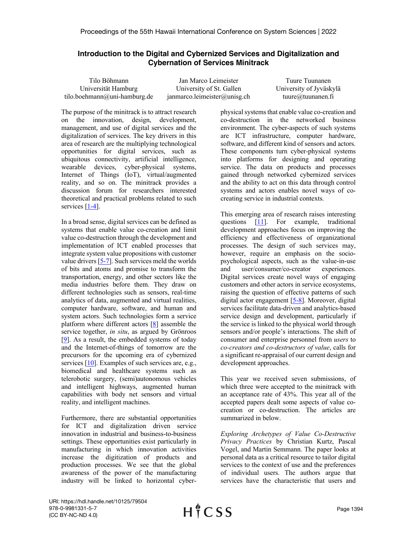## **Introduction to the Digital and Cybernized Services and Digitalization and Cybernation of Services Minitrack**

| Tilo Böhmann                 |  |
|------------------------------|--|
| Universität Hamburg          |  |
| tilo.boehmann@uni-hamburg.de |  |

Jan Marco Leimeister University of St. Gallen janmarco.leimeister@unisg.ch

Tuure Tuunanen University of Jyväskylä tuure@tuunanen.fi

The purpose of the minitrack is to attract research on the innovation, design, development, management, and use of digital services and the digitalization of services. The key drivers in this area of research are the multiplying technological opportunities for digital services, such as ubiquitous connectivity, artificial intelligence, wearable devices, cyber-physical systems, Internet of Things (IoT), virtual/augmented reality, and so on. The minitrack provides a discussion forum for researchers interested theoretical and practical problems related to such services  $[1-4]$ .

In a broad sense, digital services can be defined as systems that enable value co-creation and limit value co-destruction through the development and implementation of ICT enabled processes that integrate system value propositions with customer value drivers [5-7]. Such services meld the worlds of bits and atoms and promise to transform the transportation, energy, and other sectors like the media industries before them. They draw on different technologies such as sensors, real-time analytics of data, augmented and virtual realities, computer hardware, software, and human and system actors. Such technologies form a service platform where different actors [8] assemble the service together, *in situ*, as argued by Grönroos [9]. As a result, the embedded systems of today and the Internet-of-things of tomorrow are the precursors for the upcoming era of cybernized services  $[10]$ . Examples of such services are, e.g., biomedical and healthcare systems such as telerobotic surgery, (semi)autonomous vehicles and intelligent highways, augmented human capabilities with body net sensors and virtual reality, and intelligent machines.

Furthermore, there are substantial opportunities for ICT and digitalization driven service innovation in industrial and business-to-business settings. These opportunities exist particularly in manufacturing in which innovation activities increase the digitization of products and production processes. We see that the global awareness of the power of the manufacturing industry will be linked to horizontal cyberphysical systems that enable value co-creation and co-destruction in the networked business environment. The cyber-aspects of such systems are ICT infrastructure, computer hardware, software, and different kind of sensors and actors. These components turn cyber-physical systems into platforms for designing and operating service. The data on products and processes gained through networked cybernized services and the ability to act on this data through control systems and actors enables novel ways of cocreating service in industrial contexts.

This emerging area of research raises interesting questions [11]. For example, traditional development approaches focus on improving the efficiency and effectiveness of organizational processes. The design of such services may, however, require an emphasis on the sociopsychological aspects, such as the value-in-use and user/consumer/co-creator experiences. Digital services create novel ways of engaging customers and other actors in service ecosystems, raising the question of effective patterns of such digital actor engagement [5-8]. Moreover, digital services facilitate data-driven and analytics-based service design and development, particularly if the service is linked to the physical world through sensors and/or people's interactions. The shift of consumer and enterprise personnel from *users* to *co-creators and co-destructors of value*, calls for a significant re-appraisal of our current design and development approaches.

This year we received seven submissions, of which three were accepted to the minitrack with an acceptance rate of 43%. This year all of the accepted papers dealt some aspects of value cocreation or co-destruction. The articles are summarized in below.

*Exploring Archetypes of Value Co-Destructive Privacy Practices* by Christian Kurtz, Pascal Vogel, and Martin Semmann. The paper looks at personal data as a critical resource to tailor digital services to the context of use and the preferences of individual users. The authors argue that services have the characteristic that users and